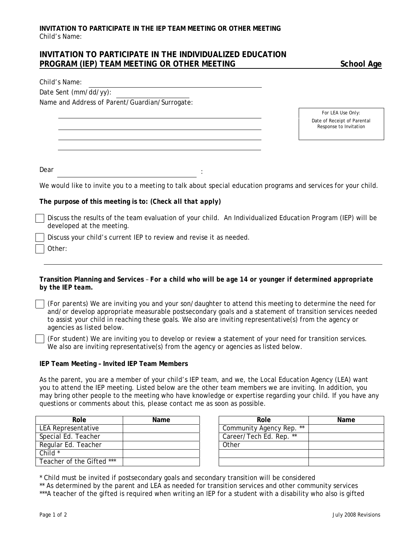## **INVITATION TO PARTICIPATE IN THE INDIVIDUALIZED EDUCATION**  PROGRAM (IEP) TEAM MEETING OR OTHER MEETING SCHOOL Age

Date Sent (mm/dd/yy):

Name and Address of Parent/Guardian/Surrogate:

*For LEA Use Only:*  Date of Receipt of Parental Response to Invitation

Dear in the second state of the second state  $\mathbf{r}$  is the second state of the second state  $\mathbf{r}$ 

We would like to invite you to a meeting to talk about special education programs and services for your child.

**The purpose of this meeting is to:** *(Check all that apply)*

Discuss the results of the team evaluation of your child. An *Individualized Education Program (IEP)* will be developed at the meeting.

Discuss your child's current IEP to review and revise it as needed.

Other:

**Transition Planning and Services** – *For a child who will be age 14 or younger if determined appropriate by the IEP team.* 

*(For parents)* We are inviting you and your son/daughter to attend this meeting to determine the need for and/or develop appropriate measurable postsecondary goals and a statement of transition services needed to assist your child in reaching these goals. We also are inviting representative(s) from the agency or agencies as listed below.

*(For student)* We are inviting you to develop or review a statement of your need for transition services. We also are inviting representative(s) from the agency or agencies as listed below.

## **IEP Team Meeting – Invited IEP Team Members**

As the parent, you are a member of your child's IEP team, and we, the Local Education Agency (LEA) want you to attend the IEP meeting. Listed below are the other team members we are inviting. In addition, you may bring other people to the meeting who have knowledge or expertise regarding your child. If you have any questions or comments about this, please contact me as soon as possible.

| Role                      | Name | Role |                          |
|---------------------------|------|------|--------------------------|
| LEA Representative        |      |      | Community Agency Rep. ** |
| Special Ed. Teacher       |      |      | Career/Tech Ed. Rep. **  |
| Regular Ed. Teacher       |      |      | Other                    |
| Child $*$                 |      |      |                          |
| Teacher of the Gifted *** |      |      |                          |

| Role           | Name | Role                     | Name |
|----------------|------|--------------------------|------|
| sentative      |      | Community Agency Rep. ** |      |
| Teacher        |      | Career/Tech Ed. Rep. **  |      |
| . Teacher      |      | Other                    |      |
|                |      |                          |      |
| the Gifted *** |      |                          |      |

\* Child must be invited if postsecondary goals and secondary transition will be considered

\*\* As determined by the parent and LEA as needed for transition services and other community services

\*\*\*A teacher of the gifted is required when writing an *IEP* for a student with a disability who also is gifted